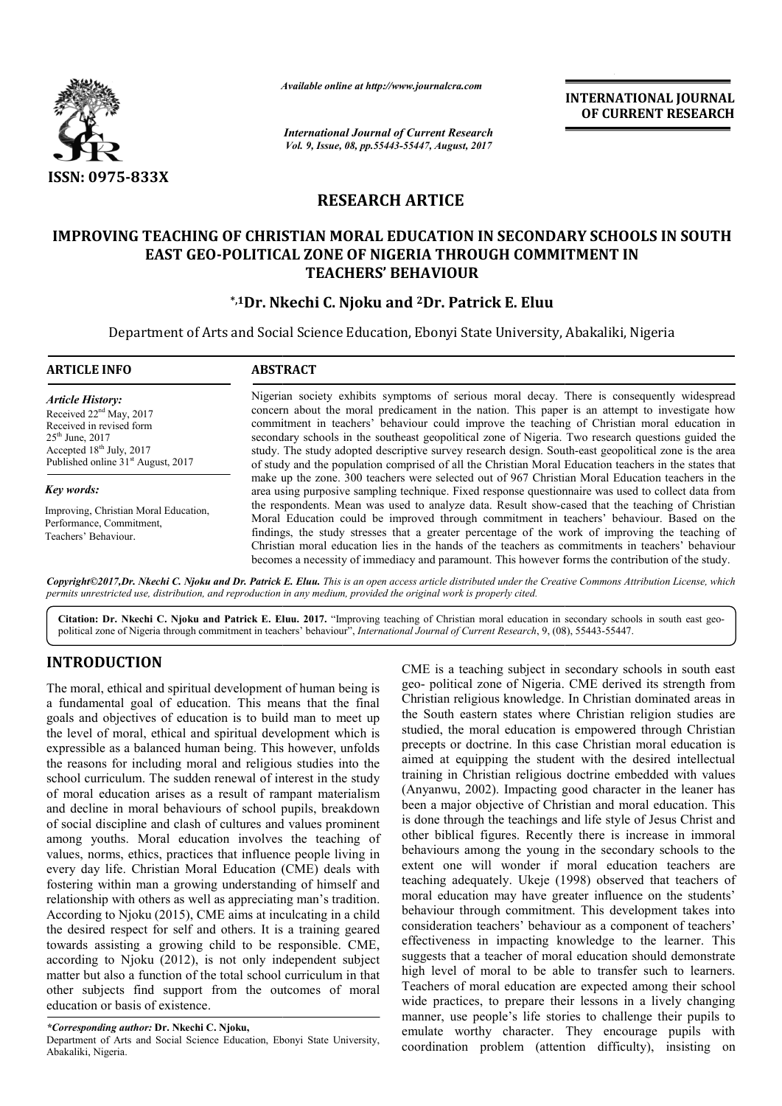

*Available online at http://www.journal http://www.journalcra.com*

*International Journal of Current Research Vol. 9, Issue, 08, pp.55443-55447, August, 2017* **INTERNATIONAL JOURNAL OF CURRENT RESEARCH** 

## **RESEARCH ARTICE**

# **IMPROVING TEACHING OF CHRISTIAN MORAL EDUCATION IN SECONDARY SCHOOLS IN SOUTH EAST GEO-POLITICAL ZONE OF NIGERIA THROUGH COMMITMENT IN POLITICAL TEACHERS' BEHAVIOUR**

## **\*,1Dr. Nkechi C. Njoku Dr. and 2Dr. Patrick E. Eluu**

Department of Arts and Social Science Education, Ebonyi State University, Abakaliki, Nigeria Department

| <b>ARTICLE INFO</b>                                                                                                                                                                                       | <b>ABSTRACT</b>                                                                                                                                                                                                                                                                                                                                                                                                                                                                                                                                                                                                                                                                                                                                                                                                                    |  |
|-----------------------------------------------------------------------------------------------------------------------------------------------------------------------------------------------------------|------------------------------------------------------------------------------------------------------------------------------------------------------------------------------------------------------------------------------------------------------------------------------------------------------------------------------------------------------------------------------------------------------------------------------------------------------------------------------------------------------------------------------------------------------------------------------------------------------------------------------------------------------------------------------------------------------------------------------------------------------------------------------------------------------------------------------------|--|
| <b>Article History:</b><br>Received 22 <sup>nd</sup> May, 2017<br>Received in revised form<br>$25^{\text{th}}$ June, 2017<br>Accepted $18th$ July, 2017<br>Published online 31 <sup>st</sup> August, 2017 | Nigerian society exhibits symptoms of serious moral decay. There is consequently widespread<br>concern about the moral predicament in the nation. This paper is an attempt to investigate how<br>commitment in teachers' behaviour could improve the teaching of Christian moral education in<br>secondary schools in the southeast geopolitical zone of Nigeria. Two research questions guided the<br>study. The study adopted descriptive survey research design. South-east geopolitical zone is the area<br>of study and the population comprised of all the Christian Moral Education teachers in the states that<br>make up the zone. 300 teachers were selected out of 967 Christian Moral Education teachers in the<br>area using purposive sampling technique. Fixed response questionnaire was used to collect data from |  |
| Key words:                                                                                                                                                                                                |                                                                                                                                                                                                                                                                                                                                                                                                                                                                                                                                                                                                                                                                                                                                                                                                                                    |  |
| Improving, Christian Moral Education,<br>Performance, Commitment,<br>Teachers' Behaviour.                                                                                                                 | the respondents. Mean was used to analyze data. Result show-cased that the teaching of Christian<br>Moral Education could be improved through commitment in teachers' behaviour. Based on the<br>findings, the study stresses that a greater percentage of the work of improving the teaching of<br>Christian moral education lies in the hands of the teachers as commitments in teachers' behaviour<br>becomes a necessity of immediacy and paramount. This however forms the contribution of the study.                                                                                                                                                                                                                                                                                                                         |  |

Copyright©2017,Dr. Nkechi C. Njoku and Dr. Patrick E. Eluu. This is an open access article distributed under the Creative Commons Attribution License, which *permits unrestricted use, distribution, and reproduction in any medium, provided the original work is properly cited.*

Citation: Dr. Nkechi C. Njoku and Patrick E. Eluu. 2017. "Improving teaching of Christian moral education in secondary schools in south east geopolitical zone of Nigeria through commitment in teachers' behaviour", *International Journal of Current Research*, 9, (08), 55443-55447.

## **INTRODUCTION**

The moral, ethical and spiritual development of human being is a fundamental goal of education. This means that the final goals and objectives of education is to build man to meet up the level of moral, ethical and spiritual development which is expressible as a balanced human being. This however, unfolds the reasons for including moral and religious studies into the school curriculum. The sudden renewal of interest in the study of moral education arises as a result of rampant materialism and decline in moral behaviours of school pupils, breakdown of social discipline and clash of cultures and values prominent among youths. Moral education involves the teaching of values, norms, ethics, practices that influence people living in every day life. Christian Moral Education (CME) deals with fostering within man a growing understanding of himself and relationship with others as well as appreciating man's tradition. According to Njoku (2015), CME aims at inculcating in a child the desired respect for self and others. It is a training geared towards assisting a growing child to be responsible. CME, according to Njoku (2012), is not only independent subject matter but also a function of the total school curriculum in that other subjects find support from the outcomes o education or basis of existence. e as a balanced human being. This however, unfolds<br>is for including moral and religious studies into the<br>riculum. The sudden renewal of interest in the study<br>education arises as a result of rampant materialism<br>ne in moral

*\*Corresponding author:* **Dr. Nkechi C. Njoku,**

Department of Arts and Social Science Education, Ebonyi State University, Abakaliki, Nigeria.

CME is a teaching subject in secondary schools in south east geo- political zone of Nigeria. CME derived its strength from Christian religious knowledge. In Christian dominated areas in the South eastern states where Christian religion studies are studied, the moral education is empowered through Christian precepts or doctrine. In this case Christian moral education is aimed at equipping the student with the desired intellectual training in Christian religious doctrine embedded with values (Anyanwu, 2002). Impacting good character in the leaner has been a major objective of Christian and moral education. This is done through the teachings and life style of Jesus Christ and other biblical figures. Recently there is increase in immoral behaviours among the young in the secondary schools to the extent one will wonder if moral education teachers are teaching adequately. Ukeje (1998) observed that teachers of moral education may have greater influence on the students' behaviour through commitment. This development takes into moral education may have greater influence on the students' behaviour through commitment. This development takes into consideration teachers' behaviour as a component of teachers' effectiveness in impacting knowledge to the learner. This suggests that a teacher of moral education should demonstrate high level of moral to be able to transfer such to learners. Teachers of moral education are expected among their school wide practices, to prepare their lessons in a lively changing manner, use people's life stories to challenge their pupils to emulate worthy character. They encourage pupils with coordination problem (attention difficulty), insisting on CME is a teaching subject in secondary schools in south east geo-political zone of Nigeria. CME derived its strength from Christian religious knowledge. In Christian dominated areas in the South eastern states where Christ **INTERNATIONAL JOURNAL FORM (CONTROVAL JOURNAL FORM (CONTROVAL TOP) CONTROVER CONTROVER CONTROVER THEST (THE CONTROVERT CONTROVERT THE CONTROVERT THE CONTROVERT CONTROVERT THE CONTROVERT CONTROVERT THE CONTROVERT CONTROVE**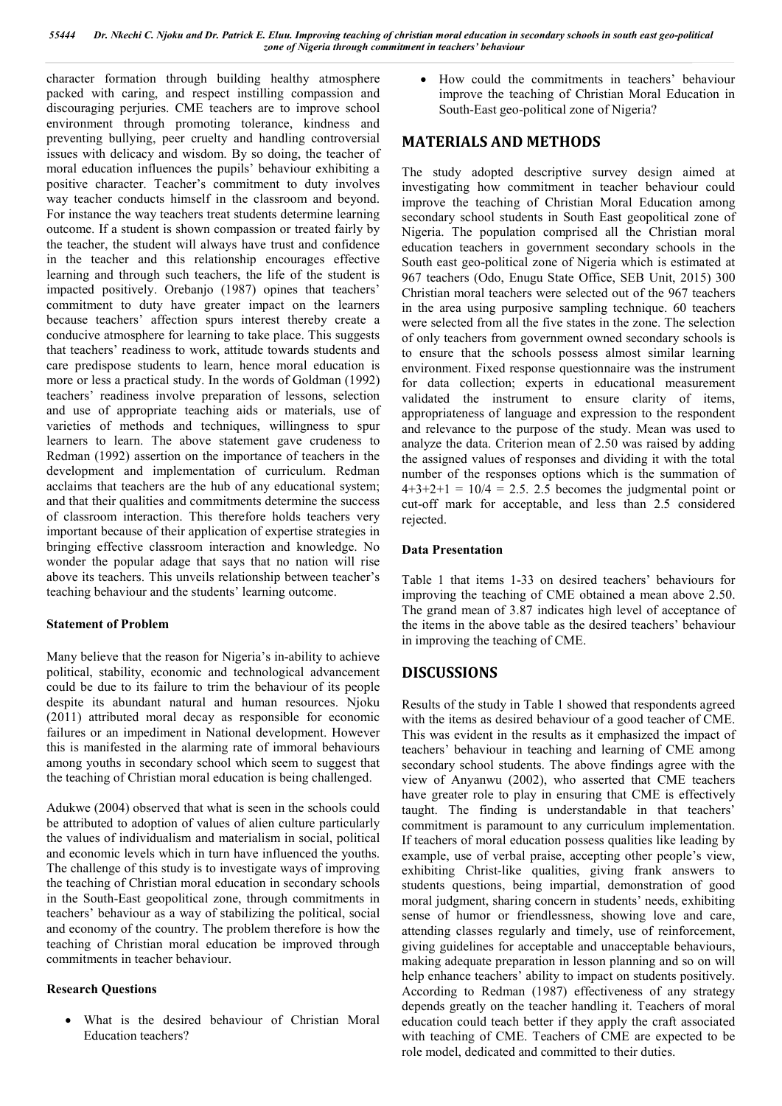character formation through building healthy atmosphere packed with caring, and respect instilling compassion and discouraging perjuries. CME teachers are to improve school environment through promoting tolerance, kindness and preventing bullying, peer cruelty and handling controversial issues with delicacy and wisdom. By so doing, the teacher of moral education influences the pupils' behaviour exhibiting a positive character. Teacher's commitment to duty involves way teacher conducts himself in the classroom and beyond. For instance the way teachers treat students determine learning outcome. If a student is shown compassion or treated fairly by the teacher, the student will always have trust and confidence in the teacher and this relationship encourages effective learning and through such teachers, the life of the student is impacted positively. Orebanjo (1987) opines that teachers' commitment to duty have greater impact on the learners because teachers' affection spurs interest thereby create a conducive atmosphere for learning to take place. This suggests that teachers' readiness to work, attitude towards students and care predispose students to learn, hence moral education is more or less a practical study. In the words of Goldman (1992) teachers' readiness involve preparation of lessons, selection and use of appropriate teaching aids or materials, use of varieties of methods and techniques, willingness to spur learners to learn. The above statement gave crudeness to Redman (1992) assertion on the importance of teachers in the development and implementation of curriculum. Redman acclaims that teachers are the hub of any educational system; and that their qualities and commitments determine the success of classroom interaction. This therefore holds teachers very important because of their application of expertise strategies in bringing effective classroom interaction and knowledge. No wonder the popular adage that says that no nation will rise above its teachers. This unveils relationship between teacher's teaching behaviour and the students' learning outcome.

## **Statement of Problem**

Many believe that the reason for Nigeria's in-ability to achieve political, stability, economic and technological advancement could be due to its failure to trim the behaviour of its people despite its abundant natural and human resources. Njoku (2011) attributed moral decay as responsible for economic failures or an impediment in National development. However this is manifested in the alarming rate of immoral behaviours among youths in secondary school which seem to suggest that the teaching of Christian moral education is being challenged.

Adukwe (2004) observed that what is seen in the schools could be attributed to adoption of values of alien culture particularly the values of individualism and materialism in social, political and economic levels which in turn have influenced the youths. The challenge of this study is to investigate ways of improving the teaching of Christian moral education in secondary schools in the South-East geopolitical zone, through commitments in teachers' behaviour as a way of stabilizing the political, social and economy of the country. The problem therefore is how the teaching of Christian moral education be improved through commitments in teacher behaviour.

#### **Research Questions**

 What is the desired behaviour of Christian Moral Education teachers?

 How could the commitments in teachers' behaviour improve the teaching of Christian Moral Education in South-East geo-political zone of Nigeria?

## **MATERIALS AND METHODS**

The study adopted descriptive survey design aimed at investigating how commitment in teacher behaviour could improve the teaching of Christian Moral Education among secondary school students in South East geopolitical zone of Nigeria. The population comprised all the Christian moral education teachers in government secondary schools in the South east geo-political zone of Nigeria which is estimated at 967 teachers (Odo, Enugu State Office, SEB Unit, 2015) 300 Christian moral teachers were selected out of the 967 teachers in the area using purposive sampling technique. 60 teachers were selected from all the five states in the zone. The selection of only teachers from government owned secondary schools is to ensure that the schools possess almost similar learning environment. Fixed response questionnaire was the instrument for data collection; experts in educational measurement validated the instrument to ensure clarity of items, appropriateness of language and expression to the respondent and relevance to the purpose of the study. Mean was used to analyze the data. Criterion mean of 2.50 was raised by adding the assigned values of responses and dividing it with the total number of the responses options which is the summation of  $4+3+2+1 = 10/4 = 2.5$ . 2.5 becomes the judgmental point or cut-off mark for acceptable, and less than 2.5 considered rejected.

### **Data Presentation**

Table 1 that items 1-33 on desired teachers' behaviours for improving the teaching of CME obtained a mean above 2.50. The grand mean of 3.87 indicates high level of acceptance of the items in the above table as the desired teachers' behaviour in improving the teaching of CME.

## **DISCUSSIONS**

Results of the study in Table 1 showed that respondents agreed with the items as desired behaviour of a good teacher of CME. This was evident in the results as it emphasized the impact of teachers' behaviour in teaching and learning of CME among secondary school students. The above findings agree with the view of Anyanwu (2002), who asserted that CME teachers have greater role to play in ensuring that CME is effectively taught. The finding is understandable in that teachers' commitment is paramount to any curriculum implementation. If teachers of moral education possess qualities like leading by example, use of verbal praise, accepting other people's view, exhibiting Christ-like qualities, giving frank answers to students questions, being impartial, demonstration of good moral judgment, sharing concern in students' needs, exhibiting sense of humor or friendlessness, showing love and care, attending classes regularly and timely, use of reinforcement, giving guidelines for acceptable and unacceptable behaviours, making adequate preparation in lesson planning and so on will help enhance teachers' ability to impact on students positively. According to Redman (1987) effectiveness of any strategy depends greatly on the teacher handling it. Teachers of moral education could teach better if they apply the craft associated with teaching of CME. Teachers of CME are expected to be role model, dedicated and committed to their duties.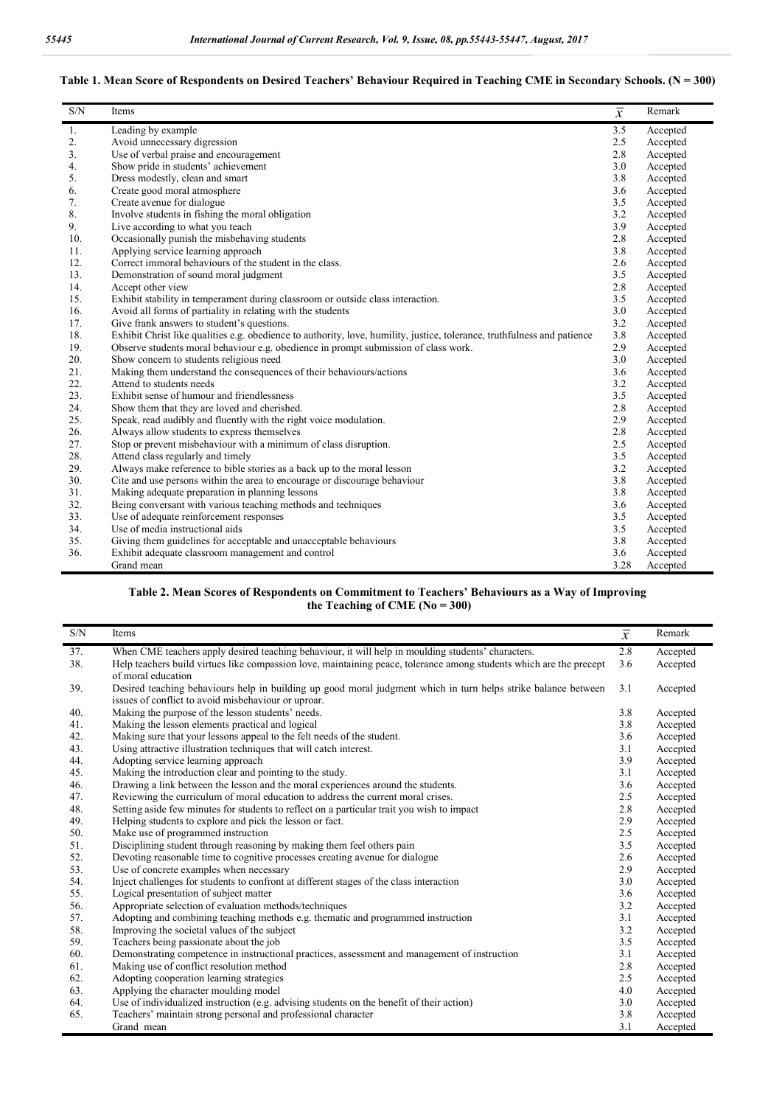| S/N            | Items                                                                                                                    | $\overline{\overline{x}}$ | Remark   |
|----------------|--------------------------------------------------------------------------------------------------------------------------|---------------------------|----------|
| 1.             | Leading by example                                                                                                       | 3.5                       | Accepted |
| 2.             | Avoid unnecessary digression                                                                                             | 2.5                       | Accepted |
| 3 <sub>1</sub> | Use of verbal praise and encouragement                                                                                   | 2.8                       | Accepted |
| 4.             | Show pride in students' achievement                                                                                      | 3.0                       | Accepted |
| 5.             | Dress modestly, clean and smart                                                                                          | 3.8                       | Accepted |
| 6.             | Create good moral atmosphere                                                                                             | 3.6                       | Accepted |
| 7.             | Create avenue for dialogue                                                                                               | 3.5                       | Accepted |
| 8.             | Involve students in fishing the moral obligation                                                                         | 3.2                       | Accepted |
| 9.             | Live according to what you teach                                                                                         | 3.9                       | Accepted |
| 10.            | Occasionally punish the misbehaving students                                                                             | 2.8                       | Accepted |
| 11.            | Applying service learning approach                                                                                       | 3.8                       | Accepted |
| 12.            | Correct immoral behaviours of the student in the class.                                                                  | 2.6                       | Accepted |
| 13.            | Demonstration of sound moral judgment                                                                                    | 3.5                       | Accepted |
| 14.            | Accept other view                                                                                                        | 2.8                       | Accepted |
| 15.            | Exhibit stability in temperament during classroom or outside class interaction.                                          | 3.5                       | Accepted |
| 16.            | Avoid all forms of partiality in relating with the students                                                              | 3.0                       | Accepted |
| 17.            | Give frank answers to student's questions.                                                                               | 3.2                       | Accepted |
| 18.            | Exhibit Christ like qualities e.g. obedience to authority, love, humility, justice, tolerance, truthfulness and patience | 3.8                       | Accepted |
| 19.            | Observe students moral behaviour e.g. obedience in prompt submission of class work.                                      | 2.9                       | Accepted |
| 20.            | Show concern to students religious need                                                                                  | 3.0                       | Accepted |
| 21.            | Making them understand the consequences of their behaviours/actions                                                      | 3.6                       | Accepted |
| 22.            | Attend to students needs                                                                                                 | 3.2                       | Accepted |
| 23.            | Exhibit sense of humour and friendlessness                                                                               | 3.5                       | Accepted |
| 24.            | Show them that they are loved and cherished.                                                                             | 2.8                       | Accepted |
| 25.            | Speak, read audibly and fluently with the right voice modulation.                                                        | 2.9                       | Accepted |
| 26.            | Always allow students to express themselves                                                                              | 2.8                       | Accepted |
| 27.            | Stop or prevent misbehaviour with a minimum of class disruption.                                                         | 2.5                       | Accepted |
| 28.            | Attend class regularly and timely                                                                                        | 3.5                       | Accepted |
| 29.            | Always make reference to bible stories as a back up to the moral lesson                                                  | 3.2                       | Accepted |
| 30.            | Cite and use persons within the area to encourage or discourage behaviour                                                | 3.8                       | Accepted |
| 31.            | Making adequate preparation in planning lessons                                                                          | 3.8                       | Accepted |
| 32.            | Being conversant with various teaching methods and techniques                                                            | 3.6                       | Accepted |
| 33.            | Use of adequate reinforcement responses                                                                                  | 3.5                       | Accepted |
| 34.            | Use of media instructional aids                                                                                          | 3.5                       | Accepted |
| 35.            | Giving them guidelines for acceptable and unacceptable behaviours                                                        | 3.8                       | Accepted |
| 36.            | Exhibit adequate classroom management and control                                                                        | 3.6                       | Accepted |
|                | Grand mean                                                                                                               | 3.28                      | Accepted |

#### Table 1. Mean Score of Respondents on Desired Teachers' Behaviour Required in Teaching CME in Secondary Schools. (N = 300)

#### **Table 2. Mean Scores of Respondents on Commitment to Teachers' Behaviours as a Way of Improving the Teaching of CME (No = 300)**

| S/N | Items                                                                                                                                                                 | $\overline{x}$ | Remark   |
|-----|-----------------------------------------------------------------------------------------------------------------------------------------------------------------------|----------------|----------|
| 37. | When CME teachers apply desired teaching behaviour, it will help in moulding students' characters.                                                                    | 2.8            | Accepted |
| 38. | Help teachers build virtues like compassion love, maintaining peace, tolerance among students which are the precept<br>of moral education                             | 3.6            | Accepted |
| 39. | Desired teaching behaviours help in building up good moral judgment which in turn helps strike balance between<br>issues of conflict to avoid misbehaviour or uproar. | 3.1            | Accepted |
| 40. | Making the purpose of the lesson students' needs.                                                                                                                     | 3.8            | Accepted |
| 41. | Making the lesson elements practical and logical                                                                                                                      | 3.8            | Accepted |
| 42. | Making sure that your lessons appeal to the felt needs of the student.                                                                                                | 3.6            | Accepted |
| 43. | Using attractive illustration techniques that will catch interest.                                                                                                    | 3.1            | Accepted |
| 44. | Adopting service learning approach                                                                                                                                    | 3.9            | Accepted |
| 45. | Making the introduction clear and pointing to the study.                                                                                                              | 3.1            | Accepted |
| 46. | Drawing a link between the lesson and the moral experiences around the students.                                                                                      | 3.6            | Accepted |
| 47. | Reviewing the curriculum of moral education to address the current moral crises.                                                                                      | 2.5            | Accepted |
| 48. | Setting aside few minutes for students to reflect on a particular trait you wish to impact                                                                            | 2.8            | Accepted |
| 49. | Helping students to explore and pick the lesson or fact.                                                                                                              | 2.9            | Accepted |
| 50. | Make use of programmed instruction                                                                                                                                    | 2.5            | Accepted |
| 51. | Disciplining student through reasoning by making them feel others pain                                                                                                | 3.5            | Accepted |
| 52. | Devoting reasonable time to cognitive processes creating avenue for dialogue                                                                                          | 2.6            | Accepted |
| 53. | Use of concrete examples when necessary                                                                                                                               | 2.9            | Accepted |
| 54. | Inject challenges for students to confront at different stages of the class interaction                                                                               | 3.0            | Accepted |
| 55. | Logical presentation of subject matter                                                                                                                                | 3.6            | Accepted |
| 56. | Appropriate selection of evaluation methods/techniques                                                                                                                | 3.2            | Accepted |
| 57. | Adopting and combining teaching methods e.g. thematic and programmed instruction                                                                                      | 3.1            | Accepted |
| 58. | Improving the societal values of the subject                                                                                                                          | 3.2            | Accepted |
| 59. | Teachers being passionate about the job                                                                                                                               | 3.5            | Accepted |
| 60. | Demonstrating competence in instructional practices, assessment and management of instruction                                                                         | 3.1            | Accepted |
| 61. | Making use of conflict resolution method                                                                                                                              | 2.8            | Accepted |
| 62. | Adopting cooperation learning strategies                                                                                                                              | 2.5            | Accepted |
| 63. | Applying the character moulding model                                                                                                                                 | 4.0            | Accepted |
| 64. | Use of individualized instruction (e.g. advising students on the benefit of their action)                                                                             | 3.0            | Accepted |
| 65. | Teachers' maintain strong personal and professional character                                                                                                         | 3.8            | Accepted |
|     | Grand mean                                                                                                                                                            | 3.1            | Accepted |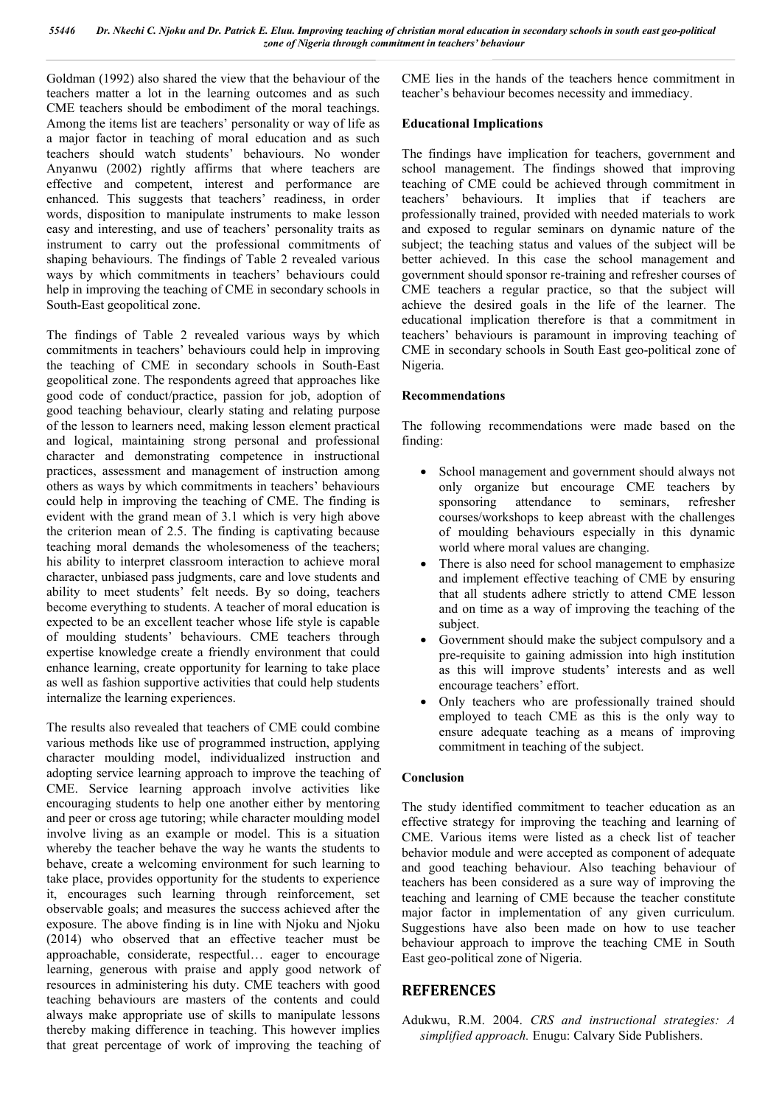Goldman (1992) also shared the view that the behaviour of the teachers matter a lot in the learning outcomes and as such CME teachers should be embodiment of the moral teachings. Among the items list are teachers' personality or way of life as a major factor in teaching of moral education and as such teachers should watch students' behaviours. No wonder Anyanwu (2002) rightly affirms that where teachers are effective and competent, interest and performance are enhanced. This suggests that teachers' readiness, in order words, disposition to manipulate instruments to make lesson easy and interesting, and use of teachers' personality traits as instrument to carry out the professional commitments of shaping behaviours. The findings of Table 2 revealed various ways by which commitments in teachers' behaviours could help in improving the teaching of CME in secondary schools in South-East geopolitical zone.

The findings of Table 2 revealed various ways by which commitments in teachers' behaviours could help in improving the teaching of CME in secondary schools in South-East geopolitical zone. The respondents agreed that approaches like good code of conduct/practice, passion for job, adoption of good teaching behaviour, clearly stating and relating purpose of the lesson to learners need, making lesson element practical and logical, maintaining strong personal and professional character and demonstrating competence in instructional practices, assessment and management of instruction among others as ways by which commitments in teachers' behaviours could help in improving the teaching of CME. The finding is evident with the grand mean of 3.1 which is very high above the criterion mean of 2.5. The finding is captivating because teaching moral demands the wholesomeness of the teachers; his ability to interpret classroom interaction to achieve moral character, unbiased pass judgments, care and love students and ability to meet students' felt needs. By so doing, teachers become everything to students. A teacher of moral education is expected to be an excellent teacher whose life style is capable of moulding students' behaviours. CME teachers through expertise knowledge create a friendly environment that could enhance learning, create opportunity for learning to take place as well as fashion supportive activities that could help students internalize the learning experiences.

The results also revealed that teachers of CME could combine various methods like use of programmed instruction, applying character moulding model, individualized instruction and adopting service learning approach to improve the teaching of CME. Service learning approach involve activities like encouraging students to help one another either by mentoring and peer or cross age tutoring; while character moulding model involve living as an example or model. This is a situation whereby the teacher behave the way he wants the students to behave, create a welcoming environment for such learning to take place, provides opportunity for the students to experience it, encourages such learning through reinforcement, set observable goals; and measures the success achieved after the exposure. The above finding is in line with Njoku and Njoku (2014) who observed that an effective teacher must be approachable, considerate, respectful… eager to encourage learning, generous with praise and apply good network of resources in administering his duty. CME teachers with good teaching behaviours are masters of the contents and could always make appropriate use of skills to manipulate lessons thereby making difference in teaching. This however implies that great percentage of work of improving the teaching of CME lies in the hands of the teachers hence commitment in teacher's behaviour becomes necessity and immediacy.

#### **Educational Implications**

The findings have implication for teachers, government and school management. The findings showed that improving teaching of CME could be achieved through commitment in teachers' behaviours. It implies that if teachers are professionally trained, provided with needed materials to work and exposed to regular seminars on dynamic nature of the subject; the teaching status and values of the subject will be better achieved. In this case the school management and government should sponsor re-training and refresher courses of CME teachers a regular practice, so that the subject will achieve the desired goals in the life of the learner. The educational implication therefore is that a commitment in teachers' behaviours is paramount in improving teaching of CME in secondary schools in South East geo-political zone of Nigeria.

#### **Recommendations**

The following recommendations were made based on the finding:

- School management and government should always not only organize but encourage CME teachers by sponsoring attendance to seminars, refresher courses/workshops to keep abreast with the challenges of moulding behaviours especially in this dynamic world where moral values are changing.
- There is also need for school management to emphasize and implement effective teaching of CME by ensuring that all students adhere strictly to attend CME lesson and on time as a way of improving the teaching of the subject.
- Government should make the subject compulsory and a pre-requisite to gaining admission into high institution as this will improve students' interests and as well encourage teachers' effort.
- Only teachers who are professionally trained should employed to teach CME as this is the only way to ensure adequate teaching as a means of improving commitment in teaching of the subject.

#### **Conclusion**

The study identified commitment to teacher education as an effective strategy for improving the teaching and learning of CME. Various items were listed as a check list of teacher behavior module and were accepted as component of adequate and good teaching behaviour. Also teaching behaviour of teachers has been considered as a sure way of improving the teaching and learning of CME because the teacher constitute major factor in implementation of any given curriculum. Suggestions have also been made on how to use teacher behaviour approach to improve the teaching CME in South East geo-political zone of Nigeria.

## **REFERENCES**

Adukwu, R.M. 2004. *CRS and instructional strategies: A simplified approach.* Enugu: Calvary Side Publishers.